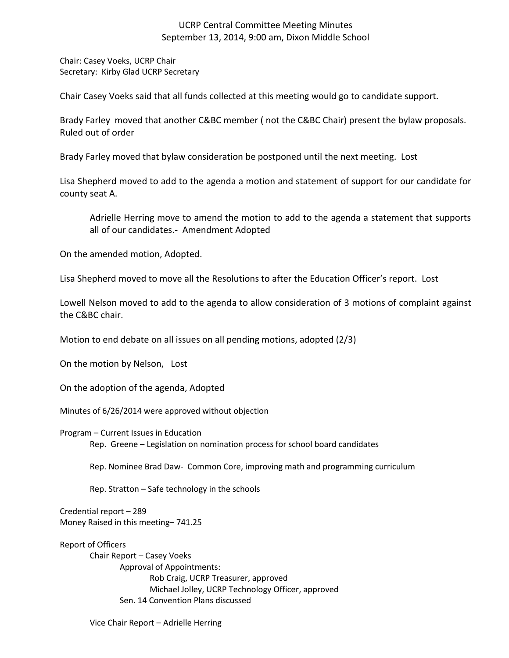# UCRP Central Committee Meeting Minutes September 13, 2014, 9:00 am, Dixon Middle School

Chair: Casey Voeks, UCRP Chair Secretary: Kirby Glad UCRP Secretary

Chair Casey Voeks said that all funds collected at this meeting would go to candidate support.

Brady Farley moved that another C&BC member ( not the C&BC Chair) present the bylaw proposals. Ruled out of order

Brady Farley moved that bylaw consideration be postponed until the next meeting. Lost

Lisa Shepherd moved to add to the agenda a motion and statement of support for our candidate for county seat A.

Adrielle Herring move to amend the motion to add to the agenda a statement that supports all of our candidates.- Amendment Adopted

On the amended motion, Adopted.

Lisa Shepherd moved to move all the Resolutions to after the Education Officer's report. Lost

Lowell Nelson moved to add to the agenda to allow consideration of 3 motions of complaint against the C&BC chair.

Motion to end debate on all issues on all pending motions, adopted (2/3)

On the motion by Nelson, Lost

On the adoption of the agenda, Adopted

Minutes of 6/26/2014 were approved without objection

Program – Current Issues in Education

Rep. Greene – Legislation on nomination process for school board candidates

Rep. Nominee Brad Daw- Common Core, improving math and programming curriculum

Rep. Stratton – Safe technology in the schools

Credential report – 289 Money Raised in this meeting– 741.25

## Report of Officers

Chair Report – Casey Voeks Approval of Appointments: Rob Craig, UCRP Treasurer, approved Michael Jolley, UCRP Technology Officer, approved Sen. 14 Convention Plans discussed

Vice Chair Report – Adrielle Herring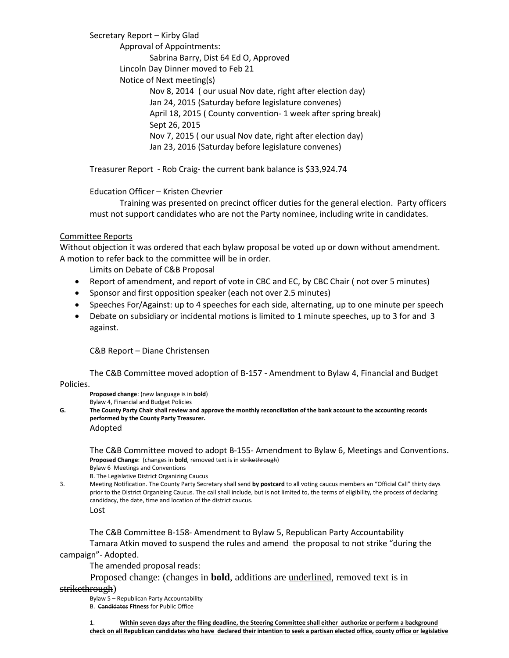Secretary Report – Kirby Glad Approval of Appointments: Sabrina Barry, Dist 64 Ed O, Approved Lincoln Day Dinner moved to Feb 21 Notice of Next meeting(s) Nov 8, 2014 ( our usual Nov date, right after election day) Jan 24, 2015 (Saturday before legislature convenes) April 18, 2015 ( County convention- 1 week after spring break) Sept 26, 2015 Nov 7, 2015 ( our usual Nov date, right after election day) Jan 23, 2016 (Saturday before legislature convenes)

Treasurer Report - Rob Craig- the current bank balance is \$33,924.74

## Education Officer – Kristen Chevrier

Training was presented on precinct officer duties for the general election. Party officers must not support candidates who are not the Party nominee, including write in candidates.

## Committee Reports

Without objection it was ordered that each bylaw proposal be voted up or down without amendment. A motion to refer back to the committee will be in order.

Limits on Debate of C&B Proposal

- Report of amendment, and report of vote in CBC and EC, by CBC Chair (not over 5 minutes)
- Sponsor and first opposition speaker (each not over 2.5 minutes)
- Speeches For/Against: up to 4 speeches for each side, alternating, up to one minute per speech
- Debate on subsidiary or incidental motions is limited to 1 minute speeches, up to 3 for and 3 against.

C&B Report – Diane Christensen

The C&B Committee moved adoption of B-157 - Amendment to Bylaw 4, Financial and Budget

Policies.

**Proposed change**: (new language is in **bold**)

Bylaw 4, Financial and Budget Policies

**G. The County Party Chair shall review and approve the monthly reconciliation of the bank account to the accounting records performed by the County Party Treasurer.** Adopted

The C&B Committee moved to adopt B-155- Amendment to Bylaw 6, Meetings and Conventions. **Proposed Change**: (changes in **bold**, removed text is in strikethrough)

Bylaw 6 Meetings and Conventions

B. The Legislative District Organizing Caucus

3. Meeting Notification. The County Party Secretary shall send **by postcard** to all voting caucus members an "Official Call" thirty days prior to the District Organizing Caucus. The call shall include, but is not limited to, the terms of eligibility, the process of declaring candidacy, the date, time and location of the district caucus. Lost

The C&B Committee B-158- Amendment to Bylaw 5, Republican Party Accountability Tamara Atkin moved to suspend the rules and amend the proposal to not strike "during the campaign"- Adopted.

The amended proposal reads:

Proposed change: (changes in **bold**, additions are underlined, removed text is in

## strikethrough)

Bylaw 5 – Republican Party Accountability

B. Candidates **Fitness** for Public Office

1. **Within seven days after the filing deadline, the Steering Committee shall either authorize or perform a background check on all Republican candidates who have declared their intention to seek a partisan elected office, county office or legislative**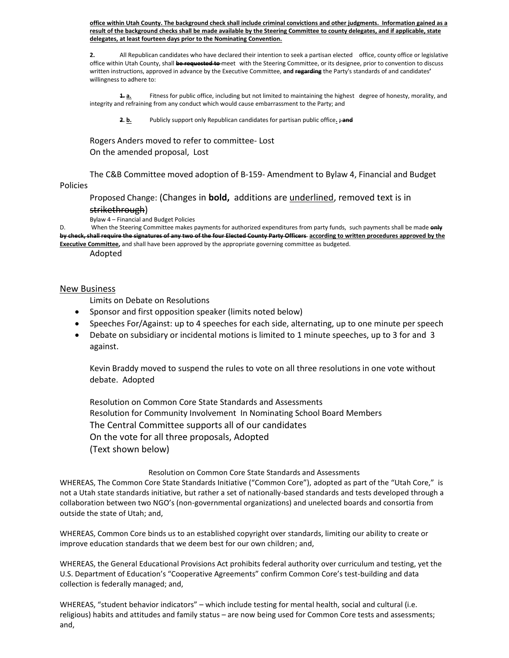**office within Utah County. The background check shall include criminal convictions and other judgments. Information gained as a result of the background checks shall be made available by the Steering Committee to county delegates, and if applicable, state delegates, at least fourteen days prior to the Nominating Convention.**

**2.** All Republican candidates who have declared their intention to seek a partisan elected office, county office or legislative office within Utah County, shall **be requested to** meet with the Steering Committee, or its designee, prior to convention to discuss written instructions, approved in advance by the Executive Committee, **and regarding** the Party's standards of and candidates**'** willingness to adhere to:

**1. a.** Fitness for public office, including but not limited to maintaining the highest degree of honesty, morality, and integrity and refraining from any conduct which would cause embarrassment to the Party; and

**2. b.** Publicly support only Republican candidates for partisan public office**. ; and**

Rogers Anders moved to refer to committee- Lost On the amended proposal, Lost

The C&B Committee moved adoption of B-159- Amendment to Bylaw 4, Financial and Budget Policies

## Proposed Change: (Changes in **bold,** additions are underlined, removed text is in

## strikethrough)

Bylaw 4 – Financial and Budget Policies

When the Steering Committee makes payments for authorized expenditures from party funds, such payments shall be made **only by check, shall require the signatures of any two of the four Elected County Party Officers according to written procedures approved by the Executive Committee,** and shall have been approved by the appropriate governing committee as budgeted.

Adopted

## New Business

Limits on Debate on Resolutions

- Sponsor and first opposition speaker (limits noted below)
- Speeches For/Against: up to 4 speeches for each side, alternating, up to one minute per speech
- Debate on subsidiary or incidental motions is limited to 1 minute speeches, up to 3 for and 3 against.

Kevin Braddy moved to suspend the rules to vote on all three resolutions in one vote without debate. Adopted

Resolution on Common Core State Standards and Assessments Resolution for Community Involvement In Nominating School Board Members The Central Committee supports all of our candidates On the vote for all three proposals, Adopted (Text shown below)

## Resolution on Common Core State Standards and Assessments

WHEREAS, The Common Core State Standards Initiative ("Common Core"), adopted as part of the "Utah Core," is not a Utah state standards initiative, but rather a set of nationally-based standards and tests developed through a collaboration between two NGO's (non-governmental organizations) and unelected boards and consortia from outside the state of Utah; and,

WHEREAS, Common Core binds us to an established copyright over standards, limiting our ability to create or improve education standards that we deem best for our own children; and,

WHEREAS, the General Educational Provisions Act prohibits federal authority over curriculum and testing, yet the U.S. Department of Education's "Cooperative Agreements" confirm Common Core's test-building and data collection is federally managed; and,

WHEREAS, "student behavior indicators" – which include testing for mental health, social and cultural (i.e. religious) habits and attitudes and family status – are now being used for Common Core tests and assessments; and,